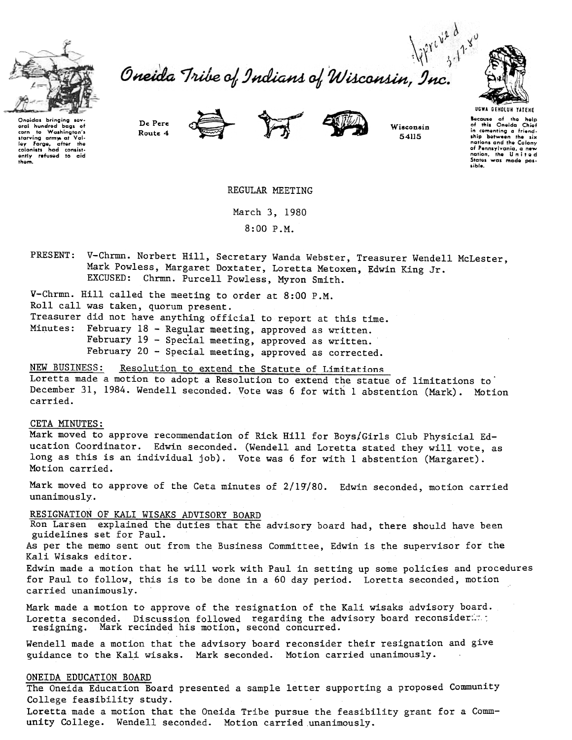

to Washington's starving army at Val-<br>Iey Forge, after the<br>colonists had consist-<br>ently refused to aid

gral hundred<br>corn to Way

Ihgm.



Route 4





Wisconsin 54115

UGWA DEHOlUH TATEHE Because of the help<br>of this Oneida Chie:<br>in cementing a friend.<br>ship between the six nations and the Colony of Pennsylvania, a new notion, Ihe U nil e d Slates was modo pos. .ible.

De Pere





REGULAR MEETING

March 3, 1980 8:00 P.M.

V-Chrmn. Norbert Hill, Secretary Wanda Webster, Treasurer Wendell McLester, Mark Powless, Margaret Doxtater, Loretta Metoxen, Edwin King Jr. EXCUSED: Chrmn. Purcell Powless, Myron Smith.

V-Chrmn. Hill called the meeting to order at 8:00 P.M. Roll call was taken, quorum present. Treasurer did not have anything official to report at this time. Minutes: February 18 - Regular meeting, approved as written. February  $19$  - Special meeting, approved as written. February 20 - Special meeting, approved as corrected.

NEW BUSINESS: Resolution to extend the Statute of Limitations

Loretta made a motion to adopt a Resolution to extend the statue of limitations to December 31, 1984. Wendell seconded. Vote was 6 for with 1 abstention (Mark). Motion carried.

## CETA MINUTES:

Mark moved to approve recommendation of Rick Hill for Boys/Girls Club Physicial Education Coordinator. Edwin seconded. (Wendell and Loretta stated they will vote, as long as this is an individual job). Vote was 6 for with 1 abstention (Margaret). Motion carried.

Mark moved to approve of the Ceta minutes of 2/19/80. Edwin seconded, motion carried unanimously.

## RESIGNATION OF KALI WISAKS ADVISORY BOARD

Ron Larsen explained the duties that the advisory board had, there should have been guidelines set for Paul.

As per the memo sent out from the Business Committee, Edwin is the supervisor for the Kali Wisaks editor.

Edwin made a motion that he will work with Paul in setting up some policies and procedures for Paul to follow, this is to be done in a 60 day period. Loretta seconded, motion carried unanimously.

Mark made a motion to approve of the resignation of the Kali wisaks advisory board. Loretta seconded. Discussion followed regarding the advisory board reconsider: $\therefore$ resigning. Mark recinded his motion, second concurred.

Wendell made a motion that the advisory board reconsider their resignation and give guidance to the Kali wisaks. Mark seconded. Motion carried unanimously.

## ONEIDA EDUCATION BOARD

The Oneida Education Board presented a sample letter supporting a proposed Community College feasibility study.

Loretta made a motion that the Oneida Tribe pursue the feasibility grant for a Community College. Wendell seconded. Motion carried unanimously.